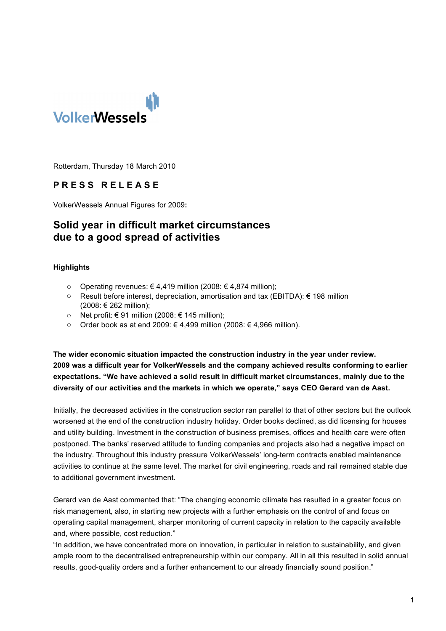

Rotterdam, Thursday 18 March 2010

## **P R E S S R E L E A S E**

VolkerWessels Annual Figures for 2009**:**

# **Solid year in difficult market circumstances due to a good spread of activities**

#### **Highlights**

- o Operating revenues: € 4,419 million (2008: € 4,874 million);
- o Result before interest, depreciation, amortisation and tax (EBITDA): € 198 million (2008: € 262 million);
- o Net profit: € 91 million (2008: € 145 million);
- o Order book as at end 2009: € 4,499 million (2008: € 4,966 million).

**The wider economic situation impacted the construction industry in the year under review. 2009 was a difficult year for VolkerWessels and the company achieved results conforming to earlier expectations. "We have achieved a solid result in difficult market circumstances, mainly due to the diversity of our activities and the markets in which we operate," says CEO Gerard van de Aast.**

Initially, the decreased activities in the construction sector ran parallel to that of other sectors but the outlook worsened at the end of the construction industry holiday. Order books declined, as did licensing for houses and utility building. Investment in the construction of business premises, offices and health care were often postponed. The banks' reserved attitude to funding companies and projects also had a negative impact on the industry. Throughout this industry pressure VolkerWessels' long-term contracts enabled maintenance activities to continue at the same level. The market for civil engineering, roads and rail remained stable due to additional government investment.

Gerard van de Aast commented that: "The changing economic cilimate has resulted in a greater focus on risk management, also, in starting new projects with a further emphasis on the control of and focus on operating capital management, sharper monitoring of current capacity in relation to the capacity available and, where possible, cost reduction."

"In addition, we have concentrated more on innovation, in particular in relation to sustainability, and given ample room to the decentralised entrepreneurship within our company. All in all this resulted in solid annual results, good-quality orders and a further enhancement to our already financially sound position."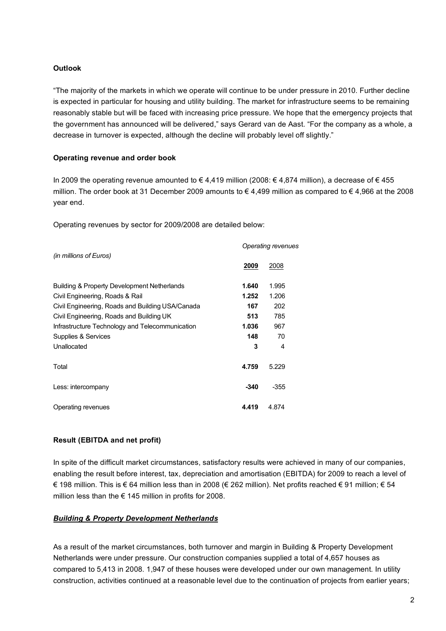### **Outlook**

"The majority of the markets in which we operate will continue to be under pressure in 2010. Further decline is expected in particular for housing and utility building. The market for infrastructure seems to be remaining reasonably stable but will be faced with increasing price pressure. We hope that the emergency projects that the government has announced will be delivered," says Gerard van de Aast. "For the company as a whole, a decrease in turnover is expected, although the decline will probably level off slightly."

#### **Operating revenue and order book**

In 2009 the operating revenue amounted to € 4,419 million (2008: € 4,874 million), a decrease of € 455 million. The order book at 31 December 2009 amounts to  $\epsilon$  4,499 million as compared to  $\epsilon$  4,966 at the 2008 year end.

Operating revenues by sector for 2009/2008 are detailed below:

|                                                        | Operating revenues |        |  |  |
|--------------------------------------------------------|--------------------|--------|--|--|
| (in millions of Euros)                                 |                    |        |  |  |
|                                                        | 2009               | 2008   |  |  |
| <b>Building &amp; Property Development Netherlands</b> | 1.640              | 1.995  |  |  |
| Civil Engineering, Roads & Rail                        | 1.252              | 1.206  |  |  |
| Civil Engineering, Roads and Building USA/Canada       | 167                | 202    |  |  |
| Civil Engineering, Roads and Building UK               | 513                | 785    |  |  |
| Infrastructure Technology and Telecommunication        | 1.036              | 967    |  |  |
| Supplies & Services                                    | 148                | 70     |  |  |
| Unallocated                                            | 3                  | 4      |  |  |
| Total                                                  | 4.759              | 5.229  |  |  |
| Less: intercompany                                     | $-340$             | $-355$ |  |  |
| Operating revenues                                     | 4.419              | 4.874  |  |  |

## **Result (EBITDA and net profit)**

In spite of the difficult market circumstances, satisfactory results were achieved in many of our companies, enabling the result before interest, tax, depreciation and amortisation (EBITDA) for 2009 to reach a level of € 198 million. This is € 64 million less than in 2008 (€ 262 million). Net profits reached € 91 million; € 54 million less than the  $\epsilon$  145 million in profits for 2008.

#### *Building & Property Development Netherlands*

As a result of the market circumstances, both turnover and margin in Building & Property Development Netherlands were under pressure. Our construction companies supplied a total of 4,657 houses as compared to 5,413 in 2008. 1,947 of these houses were developed under our own management. In utility construction, activities continued at a reasonable level due to the continuation of projects from earlier years;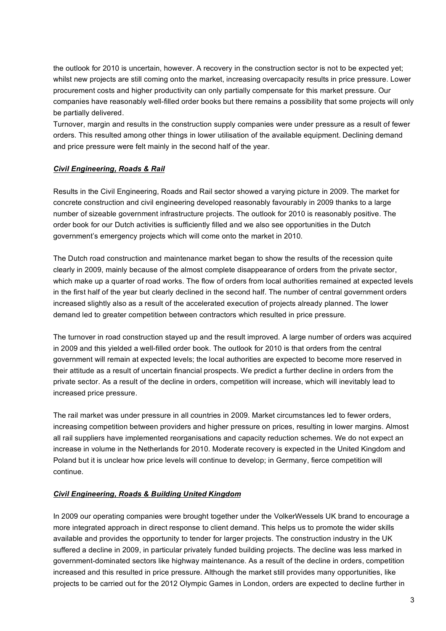the outlook for 2010 is uncertain, however. A recovery in the construction sector is not to be expected yet; whilst new projects are still coming onto the market, increasing overcapacity results in price pressure. Lower procurement costs and higher productivity can only partially compensate for this market pressure. Our companies have reasonably well-filled order books but there remains a possibility that some projects will only be partially delivered.

Turnover, margin and results in the construction supply companies were under pressure as a result of fewer orders. This resulted among other things in lower utilisation of the available equipment. Declining demand and price pressure were felt mainly in the second half of the year.

## *Civil Engineering, Roads & Rail*

Results in the Civil Engineering, Roads and Rail sector showed a varying picture in 2009. The market for concrete construction and civil engineering developed reasonably favourably in 2009 thanks to a large number of sizeable government infrastructure projects. The outlook for 2010 is reasonably positive. The order book for our Dutch activities is sufficiently filled and we also see opportunities in the Dutch government's emergency projects which will come onto the market in 2010.

The Dutch road construction and maintenance market began to show the results of the recession quite clearly in 2009, mainly because of the almost complete disappearance of orders from the private sector, which make up a quarter of road works. The flow of orders from local authorities remained at expected levels in the first half of the year but clearly declined in the second half. The number of central government orders increased slightly also as a result of the accelerated execution of projects already planned. The lower demand led to greater competition between contractors which resulted in price pressure.

The turnover in road construction stayed up and the result improved. A large number of orders was acquired in 2009 and this yielded a well-filled order book. The outlook for 2010 is that orders from the central government will remain at expected levels; the local authorities are expected to become more reserved in their attitude as a result of uncertain financial prospects. We predict a further decline in orders from the private sector. As a result of the decline in orders, competition will increase, which will inevitably lead to increased price pressure.

The rail market was under pressure in all countries in 2009. Market circumstances led to fewer orders, increasing competition between providers and higher pressure on prices, resulting in lower margins. Almost all rail suppliers have implemented reorganisations and capacity reduction schemes. We do not expect an increase in volume in the Netherlands for 2010. Moderate recovery is expected in the United Kingdom and Poland but it is unclear how price levels will continue to develop; in Germany, fierce competition will continue.

## *Civil Engineering, Roads & Building United Kingdom*

In 2009 our operating companies were brought together under the VolkerWessels UK brand to encourage a more integrated approach in direct response to client demand. This helps us to promote the wider skills available and provides the opportunity to tender for larger projects. The construction industry in the UK suffered a decline in 2009, in particular privately funded building projects. The decline was less marked in government-dominated sectors like highway maintenance. As a result of the decline in orders, competition increased and this resulted in price pressure. Although the market still provides many opportunities, like projects to be carried out for the 2012 Olympic Games in London, orders are expected to decline further in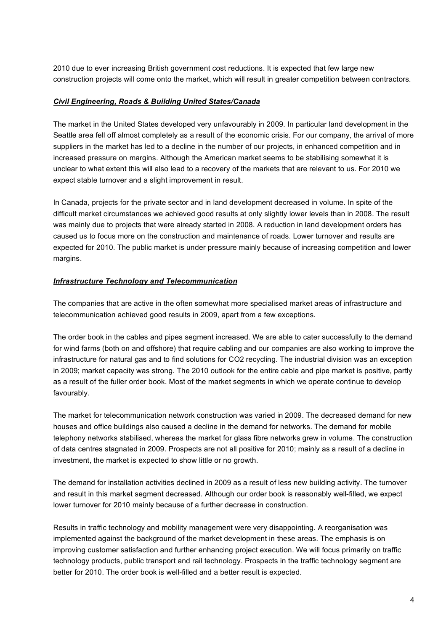2010 due to ever increasing British government cost reductions. It is expected that few large new construction projects will come onto the market, which will result in greater competition between contractors.

#### *Civil Engineering, Roads & Building United States/Canada*

The market in the United States developed very unfavourably in 2009. In particular land development in the Seattle area fell off almost completely as a result of the economic crisis. For our company, the arrival of more suppliers in the market has led to a decline in the number of our projects, in enhanced competition and in increased pressure on margins. Although the American market seems to be stabilising somewhat it is unclear to what extent this will also lead to a recovery of the markets that are relevant to us. For 2010 we expect stable turnover and a slight improvement in result.

In Canada, projects for the private sector and in land development decreased in volume. In spite of the difficult market circumstances we achieved good results at only slightly lower levels than in 2008. The result was mainly due to projects that were already started in 2008. A reduction in land development orders has caused us to focus more on the construction and maintenance of roads. Lower turnover and results are expected for 2010. The public market is under pressure mainly because of increasing competition and lower margins.

## *Infrastructure Technology and Telecommunication*

The companies that are active in the often somewhat more specialised market areas of infrastructure and telecommunication achieved good results in 2009, apart from a few exceptions.

The order book in the cables and pipes segment increased. We are able to cater successfully to the demand for wind farms (both on and offshore) that require cabling and our companies are also working to improve the infrastructure for natural gas and to find solutions for CO2 recycling. The industrial division was an exception in 2009; market capacity was strong. The 2010 outlook for the entire cable and pipe market is positive, partly as a result of the fuller order book. Most of the market segments in which we operate continue to develop favourably.

The market for telecommunication network construction was varied in 2009. The decreased demand for new houses and office buildings also caused a decline in the demand for networks. The demand for mobile telephony networks stabilised, whereas the market for glass fibre networks grew in volume. The construction of data centres stagnated in 2009. Prospects are not all positive for 2010; mainly as a result of a decline in investment, the market is expected to show little or no growth.

The demand for installation activities declined in 2009 as a result of less new building activity. The turnover and result in this market segment decreased. Although our order book is reasonably well-filled, we expect lower turnover for 2010 mainly because of a further decrease in construction.

Results in traffic technology and mobility management were very disappointing. A reorganisation was implemented against the background of the market development in these areas. The emphasis is on improving customer satisfaction and further enhancing project execution. We will focus primarily on traffic technology products, public transport and rail technology. Prospects in the traffic technology segment are better for 2010. The order book is well-filled and a better result is expected.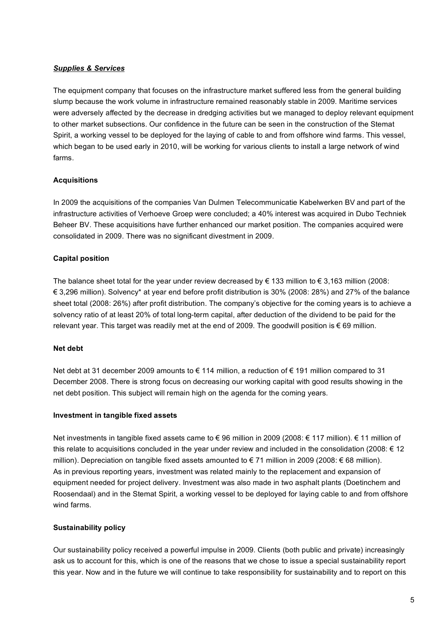## *Supplies & Services*

The equipment company that focuses on the infrastructure market suffered less from the general building slump because the work volume in infrastructure remained reasonably stable in 2009. Maritime services were adversely affected by the decrease in dredging activities but we managed to deploy relevant equipment to other market subsections. Our confidence in the future can be seen in the construction of the Stemat Spirit, a working vessel to be deployed for the laying of cable to and from offshore wind farms. This vessel, which began to be used early in 2010, will be working for various clients to install a large network of wind farms.

## **Acquisitions**

In 2009 the acquisitions of the companies Van Dulmen Telecommunicatie Kabelwerken BV and part of the infrastructure activities of Verhoeve Groep were concluded; a 40% interest was acquired in Dubo Techniek Beheer BV. These acquisitions have further enhanced our market position. The companies acquired were consolidated in 2009. There was no significant divestment in 2009.

## **Capital position**

The balance sheet total for the year under review decreased by  $\epsilon$  133 million to  $\epsilon$  3,163 million (2008: € 3,296 million). Solvency\* at year end before profit distribution is 30% (2008: 28%) and 27% of the balance sheet total (2008: 26%) after profit distribution. The company's objective for the coming years is to achieve a solvency ratio of at least 20% of total long-term capital, after deduction of the dividend to be paid for the relevant year. This target was readily met at the end of 2009. The goodwill position is  $\epsilon$  69 million.

## **Net debt**

Net debt at 31 december 2009 amounts to € 114 million, a reduction of € 191 million compared to 31 December 2008. There is strong focus on decreasing our working capital with good results showing in the net debt position. This subject will remain high on the agenda for the coming years.

## **Investment in tangible fixed assets**

Net investments in tangible fixed assets came to € 96 million in 2009 (2008: € 117 million). € 11 million of this relate to acquisitions concluded in the year under review and included in the consolidation (2008: € 12 million). Depreciation on tangible fixed assets amounted to € 71 million in 2009 (2008: € 68 million). As in previous reporting years, investment was related mainly to the replacement and expansion of equipment needed for project delivery. Investment was also made in two asphalt plants (Doetinchem and Roosendaal) and in the Stemat Spirit, a working vessel to be deployed for laying cable to and from offshore wind farms.

## **Sustainability policy**

Our sustainability policy received a powerful impulse in 2009. Clients (both public and private) increasingly ask us to account for this, which is one of the reasons that we chose to issue a special sustainability report this year. Now and in the future we will continue to take responsibility for sustainability and to report on this